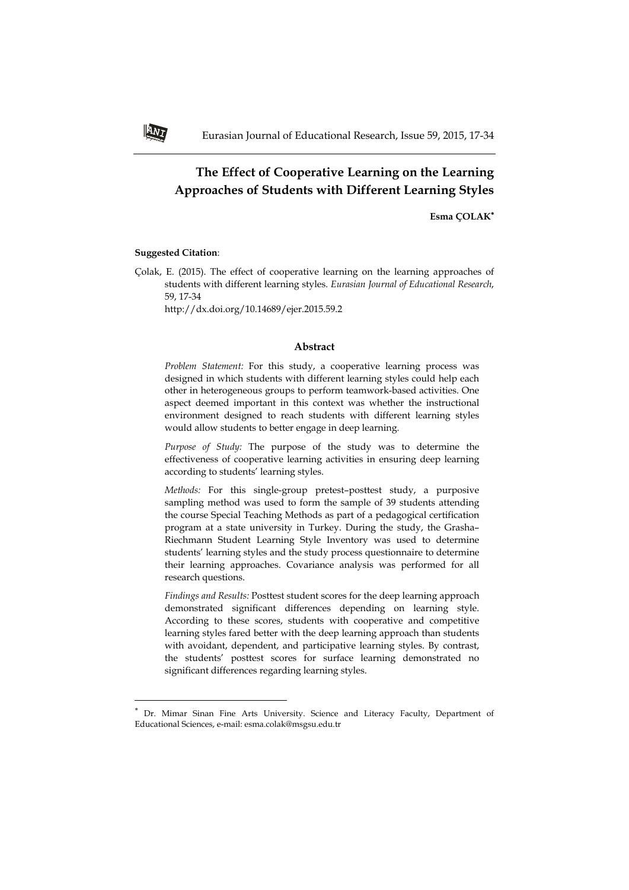# **The Effect of Cooperative Learning on the Learning Approaches of Students with Different Learning Styles**

**Esma ÇOLAK**

### **Suggested Citation**:

 $\overline{a}$ 

Çolak, E. (2015). The effect of cooperative learning on the learning approaches of students with different learning styles. *Eurasian Journal of Educational Research*, 59, 17-34

http://dx.doi.org/10.14689/ejer.2015.59.2

#### **Abstract**

*Problem Statement:* For this study, a cooperative learning process was designed in which students with different learning styles could help each other in heterogeneous groups to perform teamwork-based activities. One aspect deemed important in this context was whether the instructional environment designed to reach students with different learning styles would allow students to better engage in deep learning.

*Purpose of Study:* The purpose of the study was to determine the effectiveness of cooperative learning activities in ensuring deep learning according to students' learning styles.

*Methods:* For this single-group pretest–posttest study, a purposive sampling method was used to form the sample of 39 students attending the course Special Teaching Methods as part of a pedagogical certification program at a state university in Turkey. During the study, the Grasha– Riechmann Student Learning Style Inventory was used to determine students' learning styles and the study process questionnaire to determine their learning approaches. Covariance analysis was performed for all research questions.

*Findings and Results:* Posttest student scores for the deep learning approach demonstrated significant differences depending on learning style. According to these scores, students with cooperative and competitive learning styles fared better with the deep learning approach than students with avoidant, dependent, and participative learning styles. By contrast, the students' posttest scores for surface learning demonstrated no significant differences regarding learning styles.



<sup>×</sup>  Dr. Mimar Sinan Fine Arts University. Science and Literacy Faculty, Department of Educational Sciences, e-mail: esma.colak@msgsu.edu.tr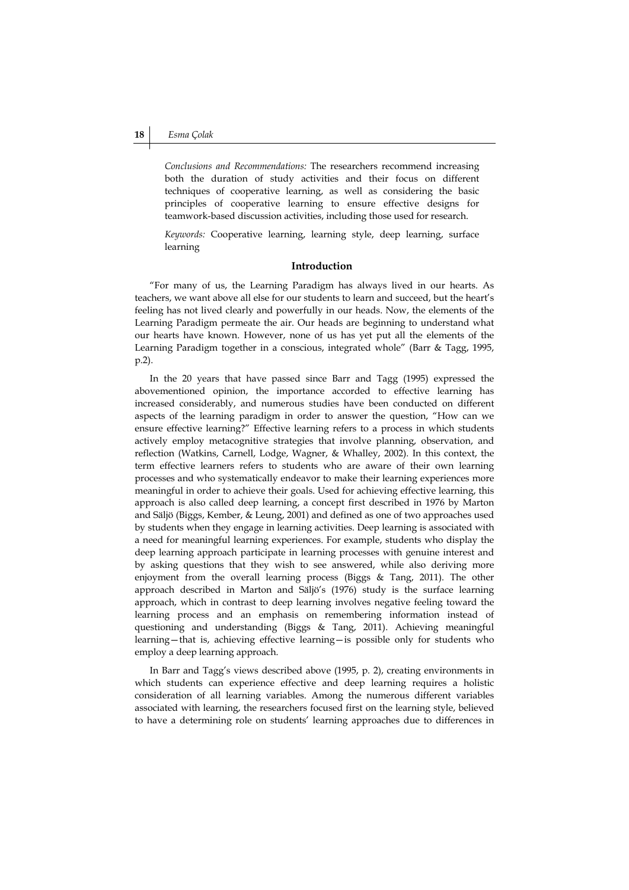*Conclusions and Recommendations:* The researchers recommend increasing both the duration of study activities and their focus on different techniques of cooperative learning, as well as considering the basic principles of cooperative learning to ensure effective designs for teamwork-based discussion activities, including those used for research.

*Keywords:* Cooperative learning, learning style, deep learning, surface learning

#### **Introduction**

"For many of us, the Learning Paradigm has always lived in our hearts. As teachers, we want above all else for our students to learn and succeed, but the heart's feeling has not lived clearly and powerfully in our heads. Now, the elements of the Learning Paradigm permeate the air. Our heads are beginning to understand what our hearts have known. However, none of us has yet put all the elements of the Learning Paradigm together in a conscious, integrated whole" (Barr & Tagg, 1995, p.2).

In the 20 years that have passed since Barr and Tagg (1995) expressed the abovementioned opinion, the importance accorded to effective learning has increased considerably, and numerous studies have been conducted on different aspects of the learning paradigm in order to answer the question, "How can we ensure effective learning?" Effective learning refers to a process in which students actively employ metacognitive strategies that involve planning, observation, and reflection (Watkins, Carnell, Lodge, Wagner, & Whalley, 2002). In this context, the term effective learners refers to students who are aware of their own learning processes and who systematically endeavor to make their learning experiences more meaningful in order to achieve their goals. Used for achieving effective learning, this approach is also called deep learning, a concept first described in 1976 by Marton and Säljö (Biggs, Kember, & Leung, 2001) and defined as one of two approaches used by students when they engage in learning activities. Deep learning is associated with a need for meaningful learning experiences. For example, students who display the deep learning approach participate in learning processes with genuine interest and by asking questions that they wish to see answered, while also deriving more enjoyment from the overall learning process (Biggs & Tang, 2011). The other approach described in Marton and Säljö's (1976) study is the surface learning approach, which in contrast to deep learning involves negative feeling toward the learning process and an emphasis on remembering information instead of questioning and understanding (Biggs & Tang, 2011). Achieving meaningful learning—that is, achieving effective learning—is possible only for students who employ a deep learning approach.

In Barr and Tagg's views described above (1995, p. 2), creating environments in which students can experience effective and deep learning requires a holistic consideration of all learning variables. Among the numerous different variables associated with learning, the researchers focused first on the learning style, believed to have a determining role on students' learning approaches due to differences in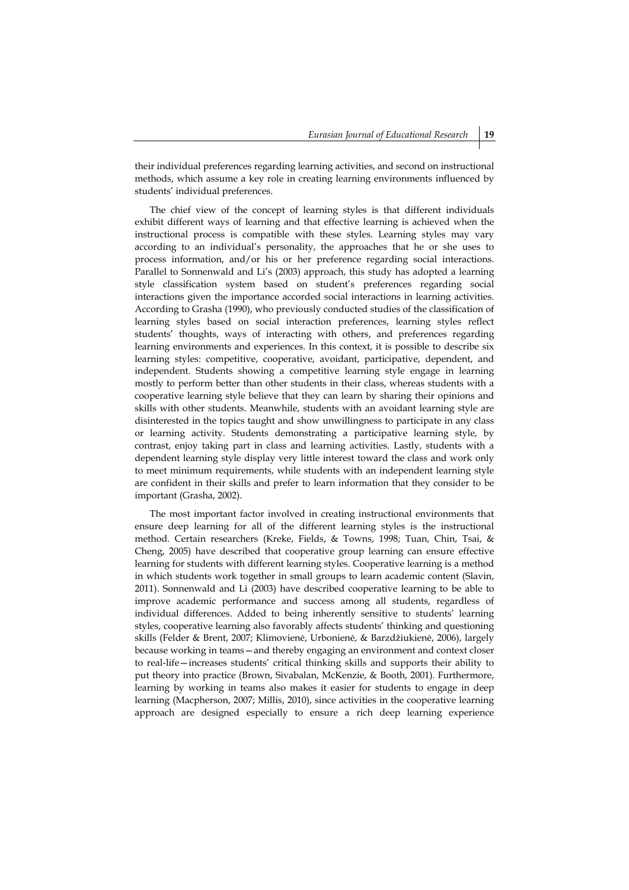their individual preferences regarding learning activities, and second on instructional methods, which assume a key role in creating learning environments influenced by students' individual preferences.

The chief view of the concept of learning styles is that different individuals exhibit different ways of learning and that effective learning is achieved when the instructional process is compatible with these styles. Learning styles may vary according to an individual's personality, the approaches that he or she uses to process information, and/or his or her preference regarding social interactions. Parallel to Sonnenwald and Li's (2003) approach, this study has adopted a learning style classification system based on student's preferences regarding social interactions given the importance accorded social interactions in learning activities. According to Grasha (1990), who previously conducted studies of the classification of learning styles based on social interaction preferences, learning styles reflect students' thoughts, ways of interacting with others, and preferences regarding learning environments and experiences. In this context, it is possible to describe six learning styles: competitive, cooperative, avoidant, participative, dependent, and independent. Students showing a competitive learning style engage in learning mostly to perform better than other students in their class, whereas students with a cooperative learning style believe that they can learn by sharing their opinions and skills with other students. Meanwhile, students with an avoidant learning style are disinterested in the topics taught and show unwillingness to participate in any class or learning activity. Students demonstrating a participative learning style, by contrast, enjoy taking part in class and learning activities. Lastly, students with a dependent learning style display very little interest toward the class and work only to meet minimum requirements, while students with an independent learning style are confident in their skills and prefer to learn information that they consider to be important (Grasha, 2002).

The most important factor involved in creating instructional environments that ensure deep learning for all of the different learning styles is the instructional method. Certain researchers (Kreke, Fields, & Towns, 1998; Tuan, Chin, Tsai, & Cheng, 2005) have described that cooperative group learning can ensure effective learning for students with different learning styles. Cooperative learning is a method in which students work together in small groups to learn academic content (Slavin, 2011). Sonnenwald and Li (2003) have described cooperative learning to be able to improve academic performance and success among all students, regardless of individual differences. Added to being inherently sensitive to students' learning styles, cooperative learning also favorably affects students' thinking and questioning skills (Felder & Brent, 2007; Klimovienė, Urbonienė, & Barzdžiukienė, 2006), largely because working in teams—and thereby engaging an environment and context closer to real-life—increases students' critical thinking skills and supports their ability to put theory into practice (Brown, Sivabalan, McKenzie, & Booth, 2001). Furthermore, learning by working in teams also makes it easier for students to engage in deep learning (Macpherson, 2007; Millis, 2010), since activities in the cooperative learning approach are designed especially to ensure a rich deep learning experience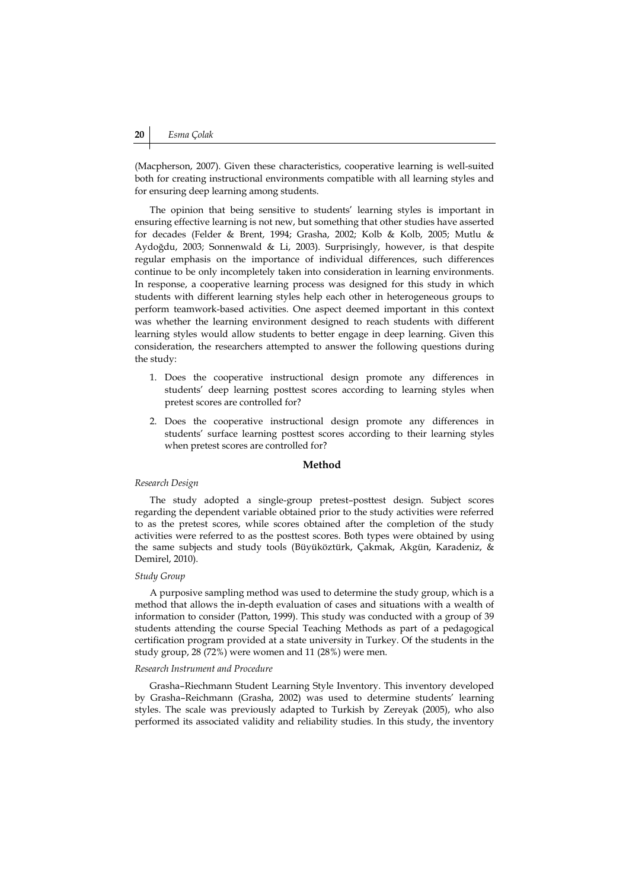(Macpherson, 2007). Given these characteristics, cooperative learning is well-suited both for creating instructional environments compatible with all learning styles and for ensuring deep learning among students.

The opinion that being sensitive to students' learning styles is important in ensuring effective learning is not new, but something that other studies have asserted for decades (Felder & Brent, 1994; Grasha, 2002; Kolb & Kolb, 2005; Mutlu & Aydoğdu, 2003; Sonnenwald & Li, 2003). Surprisingly, however, is that despite regular emphasis on the importance of individual differences, such differences continue to be only incompletely taken into consideration in learning environments. In response, a cooperative learning process was designed for this study in which students with different learning styles help each other in heterogeneous groups to perform teamwork-based activities. One aspect deemed important in this context was whether the learning environment designed to reach students with different learning styles would allow students to better engage in deep learning. Given this consideration, the researchers attempted to answer the following questions during the study:

- 1. Does the cooperative instructional design promote any differences in students' deep learning posttest scores according to learning styles when pretest scores are controlled for?
- 2. Does the cooperative instructional design promote any differences in students' surface learning posttest scores according to their learning styles when pretest scores are controlled for?

#### **Method**

#### *Research Design*

The study adopted a single-group pretest–posttest design. Subject scores regarding the dependent variable obtained prior to the study activities were referred to as the pretest scores, while scores obtained after the completion of the study activities were referred to as the posttest scores. Both types were obtained by using the same subjects and study tools (Büyüköztürk, Çakmak, Akgün, Karadeniz, & Demirel, 2010).

#### *Study Group*

A purposive sampling method was used to determine the study group, which is a method that allows the in-depth evaluation of cases and situations with a wealth of information to consider (Patton, 1999). This study was conducted with a group of 39 students attending the course Special Teaching Methods as part of a pedagogical certification program provided at a state university in Turkey. Of the students in the study group, 28 (72%) were women and 11 (28%) were men.

#### *Research Instrument and Procedure*

Grasha–Riechmann Student Learning Style Inventory. This inventory developed by Grasha–Reichmann (Grasha, 2002) was used to determine students' learning styles. The scale was previously adapted to Turkish by Zereyak (2005), who also performed its associated validity and reliability studies. In this study, the inventory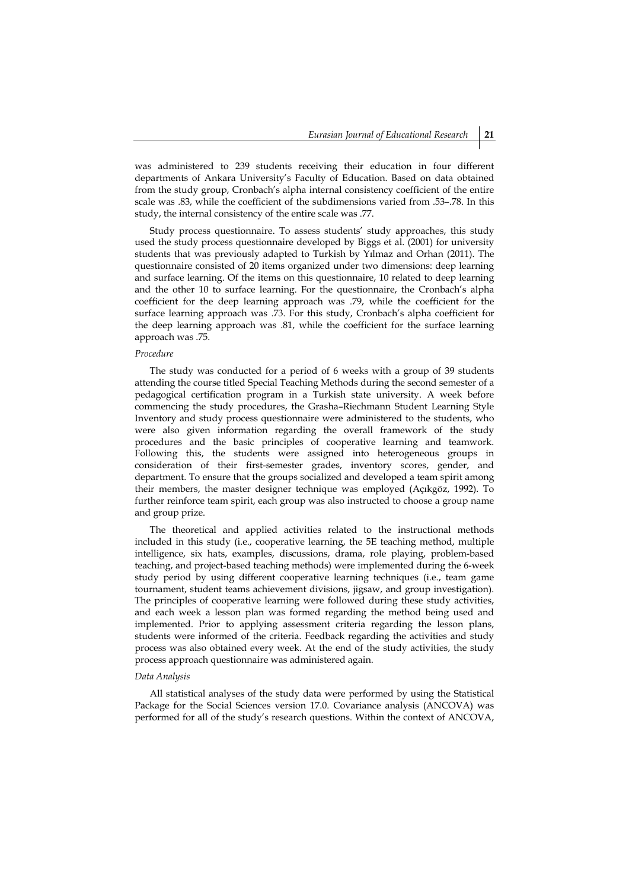was administered to 239 students receiving their education in four different departments of Ankara University's Faculty of Education. Based on data obtained from the study group, Cronbach's alpha internal consistency coefficient of the entire scale was .83, while the coefficient of the subdimensions varied from .53–.78. In this study, the internal consistency of the entire scale was .77.

Study process questionnaire. To assess students' study approaches, this study used the study process questionnaire developed by Biggs et al. (2001) for university students that was previously adapted to Turkish by Yılmaz and Orhan (2011). The questionnaire consisted of 20 items organized under two dimensions: deep learning and surface learning. Of the items on this questionnaire, 10 related to deep learning and the other 10 to surface learning. For the questionnaire, the Cronbach's alpha coefficient for the deep learning approach was .79, while the coefficient for the surface learning approach was .73. For this study, Cronbach's alpha coefficient for the deep learning approach was .81, while the coefficient for the surface learning approach was .75.

#### *Procedure*

The study was conducted for a period of 6 weeks with a group of 39 students attending the course titled Special Teaching Methods during the second semester of a pedagogical certification program in a Turkish state university. A week before commencing the study procedures, the Grasha–Riechmann Student Learning Style Inventory and study process questionnaire were administered to the students, who were also given information regarding the overall framework of the study procedures and the basic principles of cooperative learning and teamwork. Following this, the students were assigned into heterogeneous groups in consideration of their first-semester grades, inventory scores, gender, and department. To ensure that the groups socialized and developed a team spirit among their members, the master designer technique was employed (Açıkgöz, 1992). To further reinforce team spirit, each group was also instructed to choose a group name and group prize.

The theoretical and applied activities related to the instructional methods included in this study (i.e., cooperative learning, the 5E teaching method, multiple intelligence, six hats, examples, discussions, drama, role playing, problem-based teaching, and project-based teaching methods) were implemented during the 6-week study period by using different cooperative learning techniques (i.e., team game tournament, student teams achievement divisions, jigsaw, and group investigation). The principles of cooperative learning were followed during these study activities, and each week a lesson plan was formed regarding the method being used and implemented. Prior to applying assessment criteria regarding the lesson plans, students were informed of the criteria. Feedback regarding the activities and study process was also obtained every week. At the end of the study activities, the study process approach questionnaire was administered again.

#### *Data Analysis*

All statistical analyses of the study data were performed by using the Statistical Package for the Social Sciences version 17.0. Covariance analysis (ANCOVA) was performed for all of the study's research questions. Within the context of ANCOVA,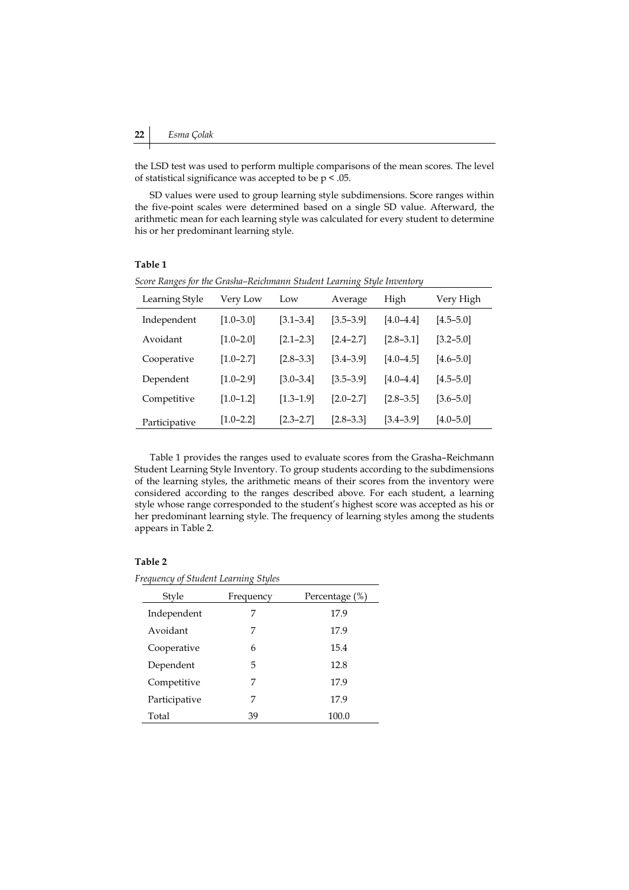the LSD test was used to perform multiple comparisons of the mean scores. The level of statistical significance was accepted to be  $p < .05$ .

SD values were used to group learning style subdimensions. Score ranges within the five-point scales were determined based on a single SD value. Afterward, the arithmetic mean for each learning style was calculated for every student to determine his or her predominant learning style.

# **Table 1**

| $\epsilon$ . $\epsilon$ in $\epsilon$ , $\epsilon$ is the set of $\epsilon$ . |               |               |               |               |               |  |
|-------------------------------------------------------------------------------|---------------|---------------|---------------|---------------|---------------|--|
| Learning Style                                                                | Very Low      | Low           | Average       | High          | Very High     |  |
| Independent                                                                   | $[1.0 - 3.0]$ | $[3.1 - 3.4]$ | $[3.5 - 3.9]$ | $[4.0 - 4.4]$ | $[4.5 - 5.0]$ |  |
| Avoidant                                                                      | $[1.0 - 2.0]$ | $[2.1 - 2.3]$ | $[2.4 - 2.7]$ | $[2.8 - 3.1]$ | $[3.2 - 5.0]$ |  |
| Cooperative                                                                   | $[1.0 - 2.7]$ | $[2.8 - 3.3]$ | $[3.4 - 3.9]$ | $[4.0 - 4.5]$ | $[4.6 - 5.0]$ |  |
| Dependent                                                                     | $[1.0 - 2.9]$ | $[3.0 - 3.4]$ | $[3.5 - 3.9]$ | $[4.0 - 4.4]$ | $[4.5 - 5.0]$ |  |
| Competitive                                                                   | $[1.0 - 1.2]$ | $[1.3 - 1.9]$ | $[2.0 - 2.7]$ | $[2.8 - 3.5]$ | $[3.6 - 5.0]$ |  |
| Participative                                                                 | $[1.0 - 2.2]$ | $[2.3 - 2.7]$ | $[2.8 - 3.3]$ | $[3.4 - 3.9]$ | $[4.0 - 5.0]$ |  |

*Score Ranges for the Grasha–Reichmann Student Learning Style Inventory* 

Table 1 provides the ranges used to evaluate scores from the Grasha–Reichmann Student Learning Style Inventory. To group students according to the subdimensions of the learning styles, the arithmetic means of their scores from the inventory were considered according to the ranges described above. For each student, a learning style whose range corresponded to the student's highest score was accepted as his or her predominant learning style. The frequency of learning styles among the students appears in Table 2.

# **Table 2**

*Frequency of Student Learning Styles* 

| Style         | Frequency | Percentage (%) |
|---------------|-----------|----------------|
| Independent   | 7         | 17.9           |
| Avoidant      | 7         | 17.9           |
| Cooperative   | 6         | 15.4           |
| Dependent     | 5         | 12.8           |
| Competitive   | 7         | 17.9           |
| Participative | 7         | 17.9           |
| Total         | 39        | 100.0          |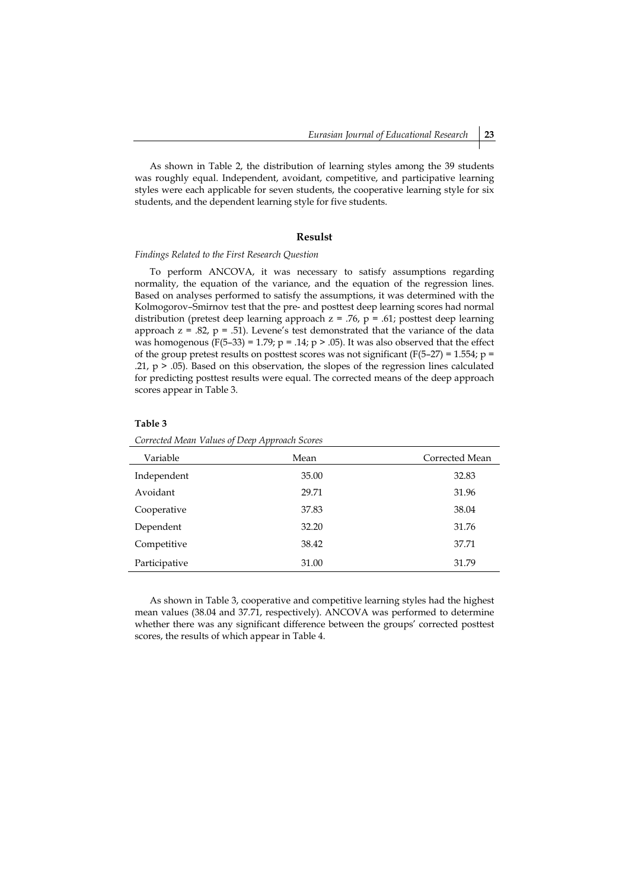As shown in Table 2, the distribution of learning styles among the 39 students was roughly equal. Independent, avoidant, competitive, and participative learning styles were each applicable for seven students, the cooperative learning style for six students, and the dependent learning style for five students.

### **Resulst**

#### *Findings Related to the First Research Question*

To perform ANCOVA, it was necessary to satisfy assumptions regarding normality, the equation of the variance, and the equation of the regression lines. Based on analyses performed to satisfy the assumptions, it was determined with the Kolmogorov–Smirnov test that the pre- and posttest deep learning scores had normal distribution (pretest deep learning approach  $z = .76$ ,  $p = .61$ ; posttest deep learning approach  $z = .82$ ,  $p = .51$ ). Levene's test demonstrated that the variance of the data was homogenous  $(F(5-33) = 1.79; p = .14; p > .05)$ . It was also observed that the effect of the group pretest results on posttest scores was not significant (F(5–27) = 1.554;  $p =$ .21,  $p > .05$ ). Based on this observation, the slopes of the regression lines calculated for predicting posttest results were equal. The corrected means of the deep approach scores appear in Table 3.

#### **Table 3**

|  |  | Corrected Mean Values of Deep Approach Scores |
|--|--|-----------------------------------------------|
|--|--|-----------------------------------------------|

| Variable      | Mean  | Corrected Mean |
|---------------|-------|----------------|
| Independent   | 35.00 | 32.83          |
| Avoidant      | 29.71 | 31.96          |
| Cooperative   | 37.83 | 38.04          |
| Dependent     | 32.20 | 31.76          |
| Competitive   | 38.42 | 37.71          |
| Participative | 31.00 | 31.79          |

As shown in Table 3, cooperative and competitive learning styles had the highest mean values (38.04 and 37.71, respectively). ANCOVA was performed to determine whether there was any significant difference between the groups' corrected posttest scores, the results of which appear in Table 4.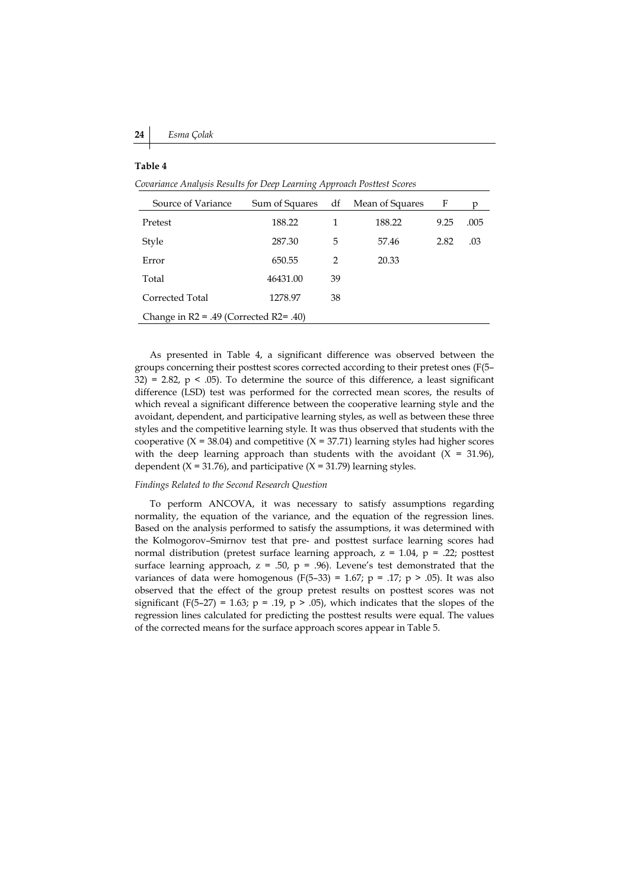#### **Table 4**

*Covariance Analysis Results for Deep Learning Approach Posttest Scores* 

| Source of Variance                           | Sum of Squares | df | Mean of Squares | F    | n    |
|----------------------------------------------|----------------|----|-----------------|------|------|
| Pretest                                      | 188.22         |    | 188.22          | 9.25 | .005 |
| Style                                        | 287.30         | 5  | 57.46           | 2.82 | .03  |
| Error                                        | 650.55         | 2  | 20.33           |      |      |
| Total                                        | 46431.00       | 39 |                 |      |      |
| Corrected Total                              | 1278.97        | 38 |                 |      |      |
| Change in $R2 = .49$ (Corrected $R2 = .40$ ) |                |    |                 |      |      |

As presented in Table 4, a significant difference was observed between the groups concerning their posttest scores corrected according to their pretest ones (F(5– 32) = 2.82,  $p \le 0.05$ ). To determine the source of this difference, a least significant difference (LSD) test was performed for the corrected mean scores, the results of which reveal a significant difference between the cooperative learning style and the avoidant, dependent, and participative learning styles, as well as between these three styles and the competitive learning style. It was thus observed that students with the cooperative  $(X = 38.04)$  and competitive  $(X = 37.71)$  learning styles had higher scores with the deep learning approach than students with the avoidant  $(X = 31.96)$ , dependent ( $X = 31.76$ ), and participative ( $X = 31.79$ ) learning styles.

#### *Findings Related to the Second Research Question*

To perform ANCOVA, it was necessary to satisfy assumptions regarding normality, the equation of the variance, and the equation of the regression lines. Based on the analysis performed to satisfy the assumptions, it was determined with the Kolmogorov–Smirnov test that pre- and posttest surface learning scores had normal distribution (pretest surface learning approach,  $z = 1.04$ ,  $p = .22$ ; posttest surface learning approach,  $z = .50$ ,  $p = .96$ ). Levene's test demonstrated that the variances of data were homogenous (F(5–33) = 1.67; p = .17; p > .05). It was also observed that the effect of the group pretest results on posttest scores was not significant (F(5–27) = 1.63; p = .19, p > .05), which indicates that the slopes of the regression lines calculated for predicting the posttest results were equal. The values of the corrected means for the surface approach scores appear in Table 5.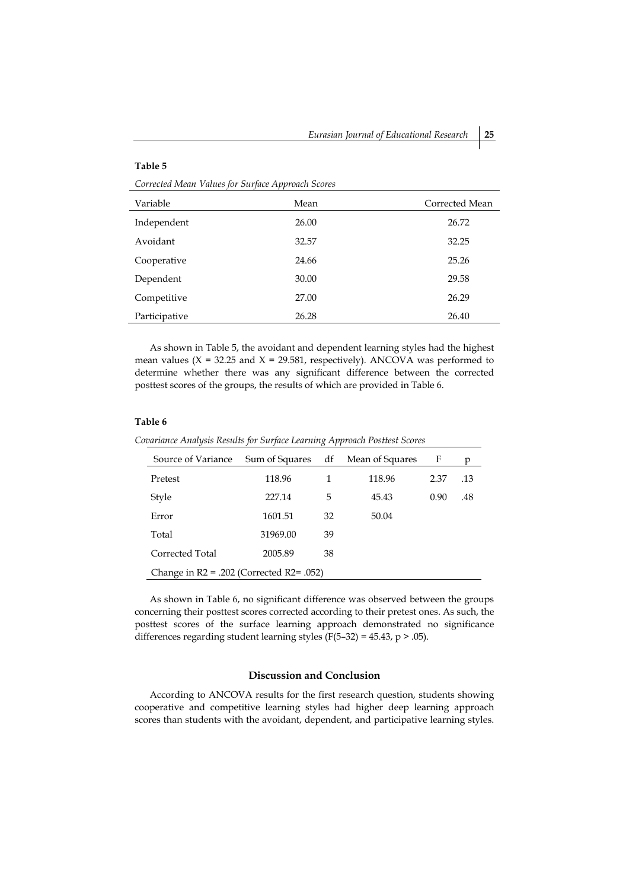#### **Table 5**

*Corrected Mean Values for Surface Approach Scores* 

| Variable      | Mean  | Corrected Mean |
|---------------|-------|----------------|
| Independent   | 26.00 | 26.72          |
| Avoidant      | 32.57 | 32.25          |
| Cooperative   | 24.66 | 25.26          |
| Dependent     | 30.00 | 29.58          |
| Competitive   | 27.00 | 26.29          |
| Participative | 26.28 | 26.40          |

As shown in Table 5, the avoidant and dependent learning styles had the highest mean values ( $X = 32.25$  and  $X = 29.581$ , respectively). ANCOVA was performed to determine whether there was any significant difference between the corrected posttest scores of the groups, the results of which are provided in Table 6.

# **Table 6**

*Covariance Analysis Results for Surface Learning Approach Posttest Scores* 

| Source of Variance                             | Sum of Squares df |    | Mean of Squares | F    | р   |
|------------------------------------------------|-------------------|----|-----------------|------|-----|
| Pretest                                        | 118.96            | 1  | 118.96          | 2.37 | .13 |
| Style                                          | 227.14            | 5  | 45.43           | 0.90 | .48 |
| Error                                          | 1601.51           | 32 | 50.04           |      |     |
| Total                                          | 31969.00          | 39 |                 |      |     |
| Corrected Total                                | 2005.89           | 38 |                 |      |     |
| Change in $R2 = .202$ (Corrected $R2 = .052$ ) |                   |    |                 |      |     |

As shown in Table 6, no significant difference was observed between the groups concerning their posttest scores corrected according to their pretest ones. As such, the posttest scores of the surface learning approach demonstrated no significance differences regarding student learning styles (F(5-32) = 45.43,  $p > .05$ ).

# **Discussion and Conclusion**

According to ANCOVA results for the first research question, students showing cooperative and competitive learning styles had higher deep learning approach scores than students with the avoidant, dependent, and participative learning styles.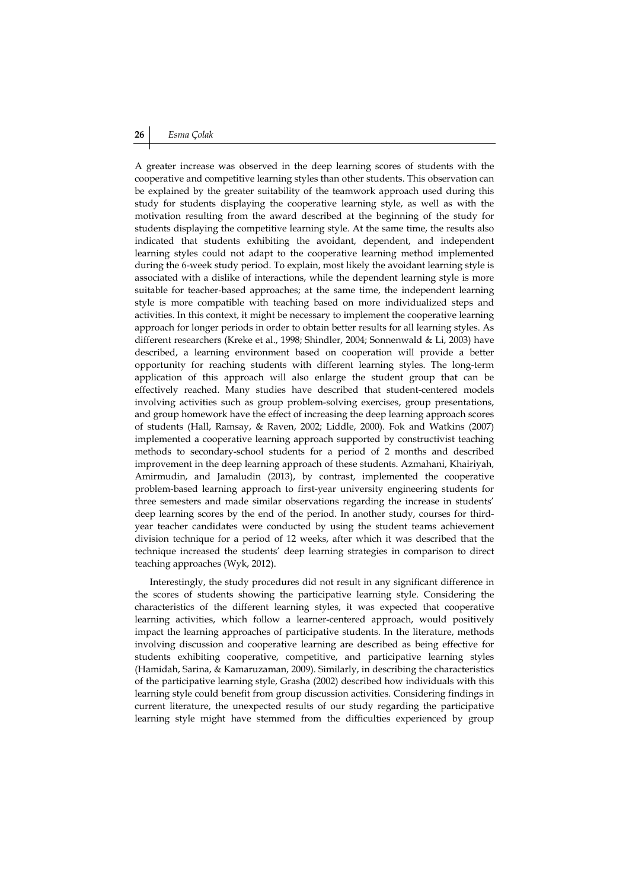# **26** *Esma Çolak*

A greater increase was observed in the deep learning scores of students with the cooperative and competitive learning styles than other students. This observation can be explained by the greater suitability of the teamwork approach used during this study for students displaying the cooperative learning style, as well as with the motivation resulting from the award described at the beginning of the study for students displaying the competitive learning style. At the same time, the results also indicated that students exhibiting the avoidant, dependent, and independent learning styles could not adapt to the cooperative learning method implemented during the 6-week study period. To explain, most likely the avoidant learning style is associated with a dislike of interactions, while the dependent learning style is more suitable for teacher-based approaches; at the same time, the independent learning style is more compatible with teaching based on more individualized steps and activities. In this context, it might be necessary to implement the cooperative learning approach for longer periods in order to obtain better results for all learning styles. As different researchers (Kreke et al., 1998; Shindler, 2004; Sonnenwald & Li, 2003) have described, a learning environment based on cooperation will provide a better opportunity for reaching students with different learning styles. The long-term application of this approach will also enlarge the student group that can be effectively reached. Many studies have described that student-centered models involving activities such as group problem-solving exercises, group presentations, and group homework have the effect of increasing the deep learning approach scores of students (Hall, Ramsay, & Raven, 2002; Liddle, 2000). Fok and Watkins (2007) implemented a cooperative learning approach supported by constructivist teaching methods to secondary-school students for a period of 2 months and described improvement in the deep learning approach of these students. Azmahani, Khairiyah, Amirmudin, and Jamaludin (2013), by contrast, implemented the cooperative problem-based learning approach to first-year university engineering students for three semesters and made similar observations regarding the increase in students' deep learning scores by the end of the period. In another study, courses for thirdyear teacher candidates were conducted by using the student teams achievement division technique for a period of 12 weeks, after which it was described that the technique increased the students' deep learning strategies in comparison to direct teaching approaches (Wyk, 2012).

Interestingly, the study procedures did not result in any significant difference in the scores of students showing the participative learning style. Considering the characteristics of the different learning styles, it was expected that cooperative learning activities, which follow a learner-centered approach, would positively impact the learning approaches of participative students. In the literature, methods involving discussion and cooperative learning are described as being effective for students exhibiting cooperative, competitive, and participative learning styles (Hamidah, Sarina, & Kamaruzaman, 2009). Similarly, in describing the characteristics of the participative learning style, Grasha (2002) described how individuals with this learning style could benefit from group discussion activities. Considering findings in current literature, the unexpected results of our study regarding the participative learning style might have stemmed from the difficulties experienced by group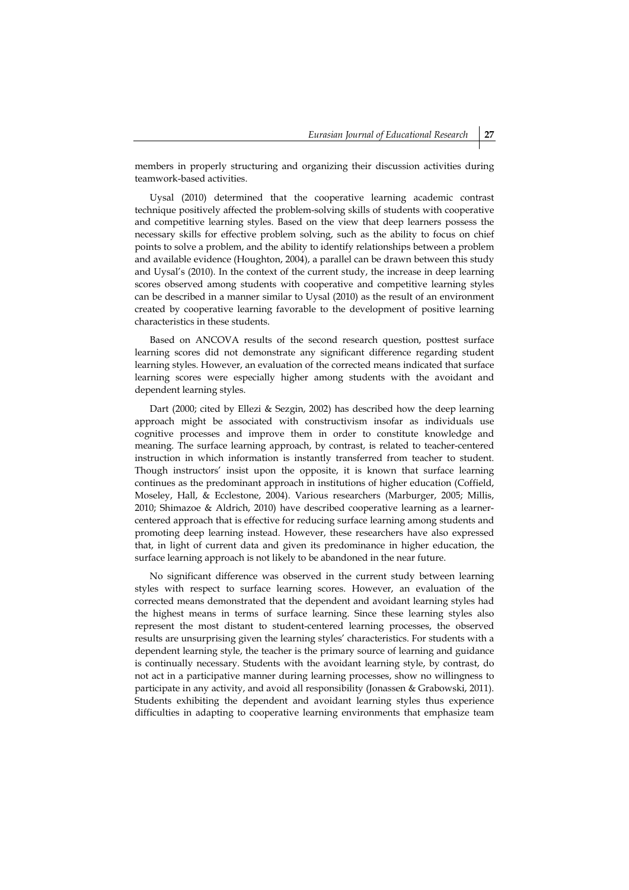members in properly structuring and organizing their discussion activities during teamwork-based activities.

Uysal (2010) determined that the cooperative learning academic contrast technique positively affected the problem-solving skills of students with cooperative and competitive learning styles. Based on the view that deep learners possess the necessary skills for effective problem solving, such as the ability to focus on chief points to solve a problem, and the ability to identify relationships between a problem and available evidence (Houghton, 2004), a parallel can be drawn between this study and Uysal's (2010). In the context of the current study, the increase in deep learning scores observed among students with cooperative and competitive learning styles can be described in a manner similar to Uysal (2010) as the result of an environment created by cooperative learning favorable to the development of positive learning characteristics in these students.

Based on ANCOVA results of the second research question, posttest surface learning scores did not demonstrate any significant difference regarding student learning styles. However, an evaluation of the corrected means indicated that surface learning scores were especially higher among students with the avoidant and dependent learning styles.

Dart (2000; cited by Ellezi & Sezgin, 2002) has described how the deep learning approach might be associated with constructivism insofar as individuals use cognitive processes and improve them in order to constitute knowledge and meaning. The surface learning approach, by contrast, is related to teacher-centered instruction in which information is instantly transferred from teacher to student. Though instructors' insist upon the opposite, it is known that surface learning continues as the predominant approach in institutions of higher education (Coffield, Moseley, Hall, & Ecclestone, 2004). Various researchers (Marburger, 2005; Millis, 2010; Shimazoe & Aldrich, 2010) have described cooperative learning as a learnercentered approach that is effective for reducing surface learning among students and promoting deep learning instead. However, these researchers have also expressed that, in light of current data and given its predominance in higher education, the surface learning approach is not likely to be abandoned in the near future.

No significant difference was observed in the current study between learning styles with respect to surface learning scores. However, an evaluation of the corrected means demonstrated that the dependent and avoidant learning styles had the highest means in terms of surface learning. Since these learning styles also represent the most distant to student-centered learning processes, the observed results are unsurprising given the learning styles' characteristics. For students with a dependent learning style, the teacher is the primary source of learning and guidance is continually necessary. Students with the avoidant learning style, by contrast, do not act in a participative manner during learning processes, show no willingness to participate in any activity, and avoid all responsibility (Jonassen & Grabowski, 2011). Students exhibiting the dependent and avoidant learning styles thus experience difficulties in adapting to cooperative learning environments that emphasize team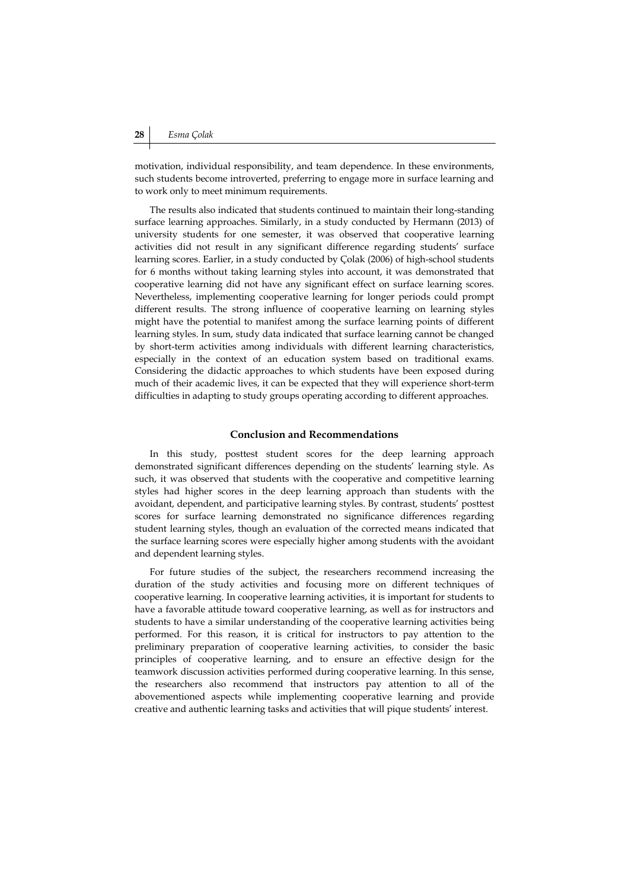motivation, individual responsibility, and team dependence. In these environments, such students become introverted, preferring to engage more in surface learning and to work only to meet minimum requirements.

The results also indicated that students continued to maintain their long-standing surface learning approaches. Similarly, in a study conducted by Hermann (2013) of university students for one semester, it was observed that cooperative learning activities did not result in any significant difference regarding students' surface learning scores. Earlier, in a study conducted by Çolak (2006) of high-school students for 6 months without taking learning styles into account, it was demonstrated that cooperative learning did not have any significant effect on surface learning scores. Nevertheless, implementing cooperative learning for longer periods could prompt different results. The strong influence of cooperative learning on learning styles might have the potential to manifest among the surface learning points of different learning styles. In sum, study data indicated that surface learning cannot be changed by short-term activities among individuals with different learning characteristics, especially in the context of an education system based on traditional exams. Considering the didactic approaches to which students have been exposed during much of their academic lives, it can be expected that they will experience short-term difficulties in adapting to study groups operating according to different approaches.

### **Conclusion and Recommendations**

In this study, posttest student scores for the deep learning approach demonstrated significant differences depending on the students' learning style. As such, it was observed that students with the cooperative and competitive learning styles had higher scores in the deep learning approach than students with the avoidant, dependent, and participative learning styles. By contrast, students' posttest scores for surface learning demonstrated no significance differences regarding student learning styles, though an evaluation of the corrected means indicated that the surface learning scores were especially higher among students with the avoidant and dependent learning styles.

For future studies of the subject, the researchers recommend increasing the duration of the study activities and focusing more on different techniques of cooperative learning. In cooperative learning activities, it is important for students to have a favorable attitude toward cooperative learning, as well as for instructors and students to have a similar understanding of the cooperative learning activities being performed. For this reason, it is critical for instructors to pay attention to the preliminary preparation of cooperative learning activities, to consider the basic principles of cooperative learning, and to ensure an effective design for the teamwork discussion activities performed during cooperative learning. In this sense, the researchers also recommend that instructors pay attention to all of the abovementioned aspects while implementing cooperative learning and provide creative and authentic learning tasks and activities that will pique students' interest.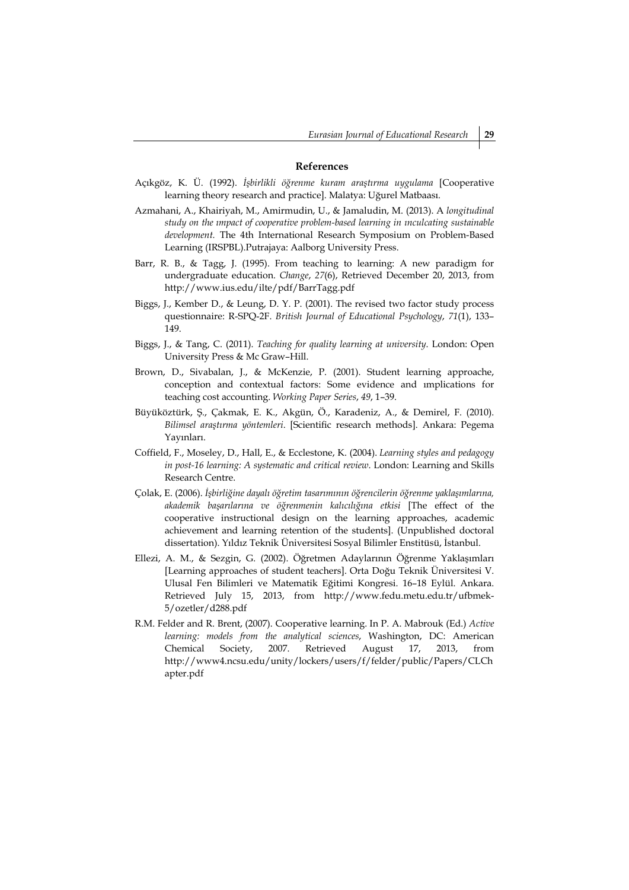### **References**

- Açıkgöz, K. Ü. (1992). *İşbirlikli öğrenme kuram araştırma uygulama* [Cooperative learning theory research and practice]. Malatya: Uğurel Matbaası.
- Azmahani, A., Khairiyah, M., Amirmudin, U., & Jamaludin, M. (2013). A *longitudinal study on the ımpact of cooperative problem-based learning in ınculcating sustainable development.* The 4th International Research Symposium on Problem-Based Learning (IRSPBL).Putrajaya: Aalborg University Press.
- Barr, R. B., & Tagg, J. (1995). From teaching to learning: A new paradigm for undergraduate education. *Change*, *27*(6), Retrieved December 20, 2013, from http://www.ius.edu/ilte/pdf/BarrTagg.pdf
- Biggs, J., Kember D., & Leung, D. Y. P. (2001). The revised two factor study process questionnaire: R-SPQ-2F. *British Journal of Educational Psychology*, *71*(1), 133– 149.
- Biggs, J., & Tang, C. (2011). *Teaching for quality learning at university*. London: Open University Press & Mc Graw–Hill.
- Brown, D., Sivabalan, J., & McKenzie, P. (2001). Student learning approache, conception and contextual factors: Some evidence and ımplications for teaching cost accounting. *Working Paper Series*, *49*, 1–39.
- Büyüköztürk, Ş., Çakmak, E. K., Akgün, Ö., Karadeniz, A., & Demirel, F. (2010). *Bilimsel araştırma yöntemleri*. [Scientific research methods]. Ankara: Pegema Yayınları.
- Coffield, F., Moseley, D., Hall, E., & Ecclestone, K. (2004). *Learning styles and pedagogy in post-16 learning: A systematic and critical review*. London: Learning and Skills Research Centre.
- Colak. E. (2006). İsbirliğine dayalı öğretim tasarımının öğrencilerin öğrenme yaklasımlarına. *akademik başarılarına ve öğrenmenin kalıcılığına etkisi* [The effect of the cooperative instructional design on the learning approaches, academic achievement and learning retention of the students]. (Unpublished doctoral dissertation). Yıldız Teknik Üniversitesi Sosyal Bilimler Enstitüsü, İstanbul.
- Ellezi, A. M., & Sezgin, G. (2002). Öğretmen Adaylarının Öğrenme Yaklaşımları [Learning approaches of student teachers]. Orta Doğu Teknik Üniversitesi V. Ulusal Fen Bilimleri ve Matematik Eğitimi Kongresi. 16–18 Eylül. Ankara. Retrieved July 15, 2013, from http://www.fedu.metu.edu.tr/ufbmek-5/ozetler/d288.pdf
- R.M. Felder and R. Brent, (2007). Cooperative learning. In P. A. Mabrouk (Ed.) *Active learning: models from the analytical sciences*, Washington, DC: American Chemical Society, 2007. Retrieved August 17, 2013, from http://www4.ncsu.edu/unity/lockers/users/f/felder/public/Papers/CLCh apter.pdf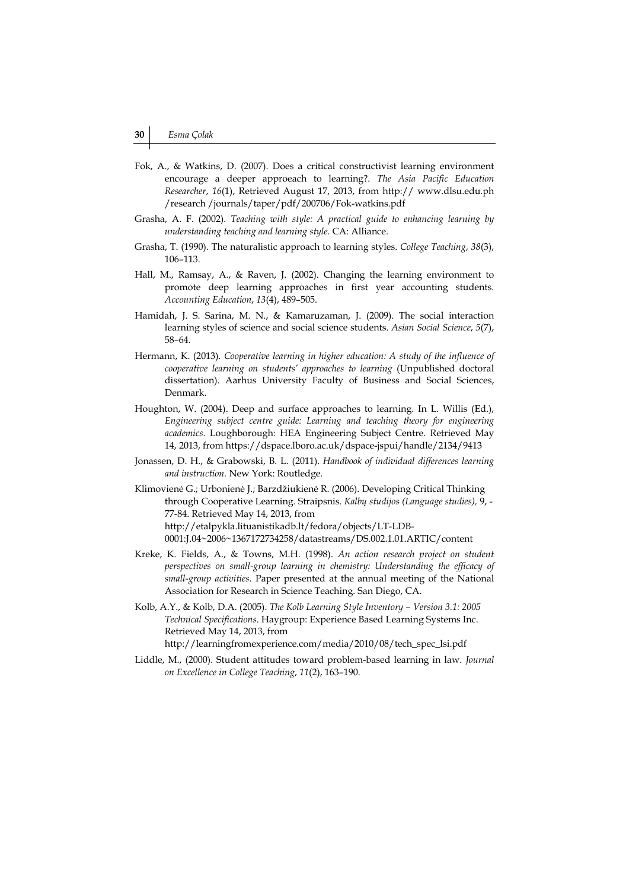- Fok, A., & Watkins, D. (2007). Does a critical constructivist learning environment encourage a deeper approeach to learning?. *The Asia Pacific Education Researcher*, *16*(1), Retrieved August 17, 2013, from http:// www.dlsu.edu.ph /research /journals/taper/pdf/200706/Fok-watkins.pdf
- Grasha, A. F. (2002). *Teaching with style: A practical guide to enhancing learning by understanding teaching and learning style*. CA: Alliance.
- Grasha, T. (1990). The naturalistic approach to learning styles. *College Teaching*, *38*(3), 106–113.
- Hall, M., Ramsay, A., & Raven, J. (2002). Changing the learning environment to promote deep learning approaches in first year accounting students. *Accounting Education*, *13*(4), 489–505.
- Hamidah, J. S. Sarina, M. N., & Kamaruzaman, J. (2009). The social interaction learning styles of science and social science students. *Asian Social Science*, *5*(7), 58–64.
- Hermann, K. (2013)*. Cooperative learning in higher education: A study of the influence of cooperative learning on students' approaches to learning* (Unpublished doctoral dissertation). Aarhus University Faculty of Business and Social Sciences, Denmark.
- Houghton, W. (2004). Deep and surface approaches to learning. In L. Willis (Ed.), *Engineering subject centre guide: Learning and teaching theory for engineering academics*. Loughborough: HEA Engineering Subject Centre. Retrieved May 14, 2013, from https://dspace.lboro.ac.uk/dspace-jspui/handle/2134/9413
- Jonassen, D. H., & Grabowski, B. L. (2011). *Handbook of individual differences learning and instruction.* New York: Routledge.
- Klimovienė G.; Urbonienė J.; Barzdžiukienė R. (2006). Developing Critical Thinking through Cooperative Learning. Straipsnis. *Kalbų studijos (Language studies),* 9, - 77-84. Retrieved May 14, 2013, from http://etalpykla.lituanistikadb.lt/fedora/objects/LT-LDB-0001:J.04~2006~1367172734258/datastreams/DS.002.1.01.ARTIC/content
- Kreke, K. Fields, A., & Towns, M.H. (1998). *An action research project on student perspectives on small-group learning in chemistry: Understanding the efficacy of small-group activities.* Paper presented at the annual meeting of the National Association for Research in Science Teaching. San Diego, CA.
- Kolb, A.Y., & Kolb, D.A. (2005). *The Kolb Learning Style Inventory Version 3.1: 2005 Technical Specifications*. Haygroup: Experience Based Learning Systems Inc. Retrieved May 14, 2013, from http://learningfromexperience.com/media/2010/08/tech\_spec\_lsi.pdf
- Liddle, M., (2000). Student attitudes toward problem-based learning in law. *Journal on Excellence in College Teaching*, *11*(2), 163–190.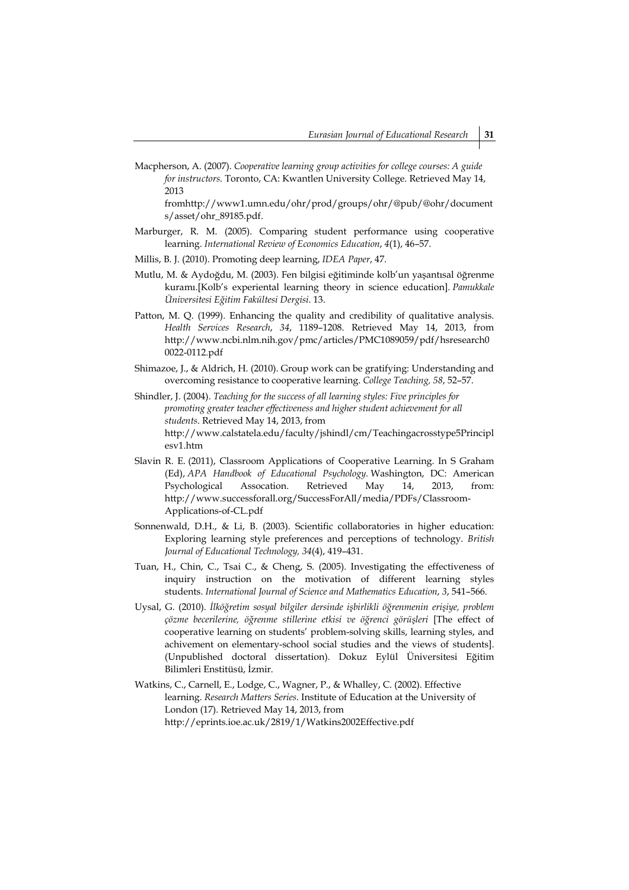Macpherson, A. (2007). *Cooperative learning group activities for college courses: A guide for instructors*. Toronto, CA: Kwantlen University College. Retrieved May 14, 2013

fromhttp://www1.umn.edu/ohr/prod/groups/ohr/@pub/@ohr/document s/asset/ohr\_89185.pdf.

- Marburger, R. M. (2005). Comparing student performance using cooperative learning. *International Review of Economics Education*, *4*(1), 46–57.
- Millis, B. J. (2010). Promoting deep learning, *IDEA Paper*, 47.
- Mutlu, M. & Aydoğdu, M. (2003). Fen bilgisi eğitiminde kolb'un yaşantısal öğrenme kuramı.[Kolb's experiental learning theory in science education]. *Pamukkale Üniversitesi Eğitim Fakültesi Dergisi*. 13.
- Patton, M. Q. (1999). Enhancing the quality and credibility of qualitative analysis. *Health Services Research*, *34*, 1189–1208. Retrieved May 14, 2013, from http://www.ncbi.nlm.nih.gov/pmc/articles/PMC1089059/pdf/hsresearch0 0022-0112.pdf
- Shimazoe, J., & Aldrich, H. (2010). Group work can be gratifying: Understanding and overcoming resistance to cooperative learning. *College Teaching, 58*, 52–57.
- Shindler, J. (2004). *Teaching for the success of all learning styles: Five principles for promoting greater teacher effectiveness and higher student achievement for all students*. Retrieved May 14, 2013, from http://www.calstatela.edu/faculty/jshindl/cm/Teachingacrosstype5Principl esv1.htm
- Slavin R. E. (2011), Classroom Applications of Cooperative Learning. In S Graham (Ed), *APA Handbook of Educational Psychology.* Washington, DC: American Psychological Assocation. Retrieved May 14, 2013, from: http://www.successforall.org/SuccessForAll/media/PDFs/Classroom-Applications-of-CL.pdf
- Sonnenwald, D.H., & Li, B. (2003). Scientific collaboratories in higher education: Exploring learning style preferences and perceptions of technology. *British Journal of Educational Technology, 34*(4), 419–431.
- Tuan, H., Chin, C., Tsai C., & Cheng, S. (2005). Investigating the effectiveness of inquiry instruction on the motivation of different learning styles students. *International Journal of Science and Mathematics Education*, *3*, 541–566.
- Uysal, G. (2010). *İlköğretim sosyal bilgiler dersinde işbirlikli öğrenmenin erişiye, problem çözme becerilerine, öğrenme stillerine etkisi ve öğrenci görüşleri* [The effect of cooperative learning on students' problem-solving skills, learning styles, and achivement on elementary-school social studies and the views of students]. (Unpublished doctoral dissertation). Dokuz Eylül Üniversitesi Eğitim Bilimleri Enstitüsü, İzmir.
- Watkins, C., Carnell, E., Lodge, C., Wagner, P., & Whalley, C. (2002). Effective learning. *Research Matters Series*. Institute of Education at the University of London (17). Retrieved May 14, 2013, from http://eprints.ioe.ac.uk/2819/1/Watkins2002Effective.pdf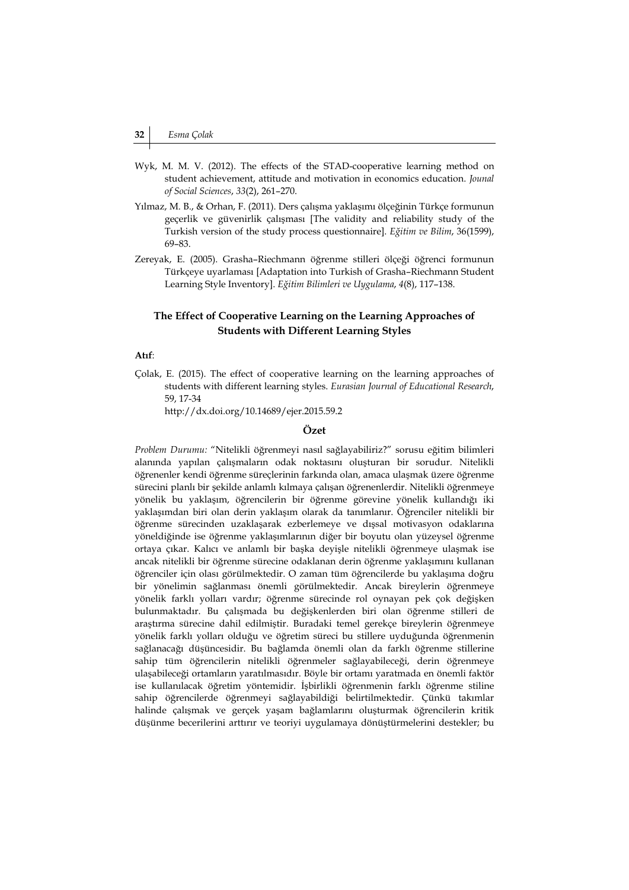- Wyk, M. M. V. (2012). The effects of the STAD-cooperative learning method on student achievement, attitude and motivation in economics education. *Jounal of Social Sciences*, *33*(2), 261–270.
- Yılmaz, M. B., & Orhan, F. (2011). Ders çalışma yaklaşımı ölçeğinin Türkçe formunun geçerlik ve güvenirlik çalışması [The validity and reliability study of the Turkish version of the study process questionnaire]. *Eğitim ve Bilim*, 36(1599), 69–83.
- Zereyak, E. (2005). Grasha–Riechmann öğrenme stilleri ölçeği öğrenci formunun Türkçeye uyarlaması [Adaptation into Turkish of Grasha–Riechmann Student Learning Style Inventory]. *Eğitim Bilimleri ve Uygulama*, *4*(8), 117–138.

# **The Effect of Cooperative Learning on the Learning Approaches of Students with Different Learning Styles**

#### **Atıf**:

Çolak, E. (2015). The effect of cooperative learning on the learning approaches of students with different learning styles. *Eurasian Journal of Educational Research*, 59, 17-34

http://dx.doi.org/10.14689/ejer.2015.59.2

# **Özet**

*Problem Durumu:* "Nitelikli öğrenmeyi nasıl sağlayabiliriz?" sorusu eğitim bilimleri alanında yapılan çalışmaların odak noktasını oluşturan bir sorudur. Nitelikli öğrenenler kendi öğrenme süreçlerinin farkında olan, amaca ulaşmak üzere öğrenme sürecini planlı bir şekilde anlamlı kılmaya çalışan öğrenenlerdir. Nitelikli öğrenmeye yönelik bu yaklaşım, öğrencilerin bir öğrenme görevine yönelik kullandığı iki yaklaşımdan biri olan derin yaklaşım olarak da tanımlanır. Öğrenciler nitelikli bir öğrenme sürecinden uzaklaşarak ezberlemeye ve dışsal motivasyon odaklarına yöneldiğinde ise öğrenme yaklaşımlarının diğer bir boyutu olan yüzeysel öğrenme ortaya çıkar. Kalıcı ve anlamlı bir başka deyişle nitelikli öğrenmeye ulaşmak ise ancak nitelikli bir öğrenme sürecine odaklanan derin öğrenme yaklaşımını kullanan öğrenciler için olası görülmektedir. O zaman tüm öğrencilerde bu yaklaşıma doğru bir yönelimin sağlanması önemli görülmektedir. Ancak bireylerin öğrenmeye yönelik farklı yolları vardır; öğrenme sürecinde rol oynayan pek çok değişken bulunmaktadır. Bu çalışmada bu değişkenlerden biri olan öğrenme stilleri de araştırma sürecine dahil edilmiştir. Buradaki temel gerekçe bireylerin öğrenmeye yönelik farklı yolları olduğu ve öğretim süreci bu stillere uyduğunda öğrenmenin sağlanacağı düşüncesidir. Bu bağlamda önemli olan da farklı öğrenme stillerine sahip tüm öğrencilerin nitelikli öğrenmeler sağlayabileceği, derin öğrenmeye ulaşabileceği ortamların yaratılmasıdır. Böyle bir ortamı yaratmada en önemli faktör ise kullanılacak öğretim yöntemidir. İşbirlikli öğrenmenin farklı öğrenme stiline sahip öğrencilerde öğrenmeyi sağlayabildiği belirtilmektedir. Çünkü takımlar halinde çalışmak ve gerçek yaşam bağlamlarını oluşturmak öğrencilerin kritik düşünme becerilerini arttırır ve teoriyi uygulamaya dönüştürmelerini destekler; bu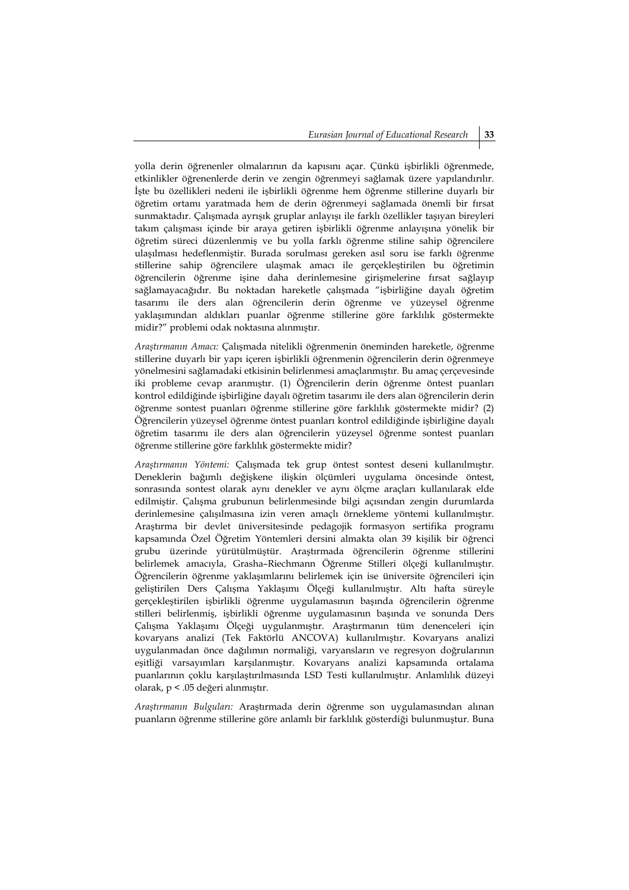yolla derin öğrenenler olmalarının da kapısını açar. Çünkü işbirlikli öğrenmede, etkinlikler öğrenenlerde derin ve zengin öğrenmeyi sağlamak üzere yapılandırılır. İşte bu özellikleri nedeni ile işbirlikli öğrenme hem öğrenme stillerine duyarlı bir öğretim ortamı yaratmada hem de derin öğrenmeyi sağlamada önemli bir fırsat sunmaktadır. Çalışmada ayrışık gruplar anlayışı ile farklı özellikler taşıyan bireyleri takım çalışması içinde bir araya getiren işbirlikli öğrenme anlayışına yönelik bir öğretim süreci düzenlenmiş ve bu yolla farklı öğrenme stiline sahip öğrencilere ulaşılması hedeflenmiştir. Burada sorulması gereken asıl soru ise farklı öğrenme stillerine sahip öğrencilere ulaşmak amacı ile gerçekleştirilen bu öğretimin öğrencilerin öğrenme işine daha derinlemesine girişmelerine fırsat sağlayıp sağlamayacağıdır. Bu noktadan hareketle çalışmada "işbirliğine dayalı öğretim tasarımı ile ders alan öğrencilerin derin öğrenme ve yüzeysel öğrenme yaklaşımından aldıkları puanlar öğrenme stillerine göre farklılık göstermekte midir?" problemi odak noktasına alınmıştır.

*Araştırmanın Amacı:* Çalışmada nitelikli öğrenmenin öneminden hareketle, öğrenme stillerine duyarlı bir yapı içeren işbirlikli öğrenmenin öğrencilerin derin öğrenmeye yönelmesini sağlamadaki etkisinin belirlenmesi amaçlanmıştır. Bu amaç çerçevesinde iki probleme cevap aranmıştır. (1) Öğrencilerin derin öğrenme öntest puanları kontrol edildiğinde işbirliğine dayalı öğretim tasarımı ile ders alan öğrencilerin derin öğrenme sontest puanları öğrenme stillerine göre farklılık göstermekte midir? (2) Öğrencilerin yüzeysel öğrenme öntest puanları kontrol edildiğinde işbirliğine dayalı öğretim tasarımı ile ders alan öğrencilerin yüzeysel öğrenme sontest puanları öğrenme stillerine göre farklılık göstermekte midir?

*Araştırmanın Yöntemi:* Çalışmada tek grup öntest sontest deseni kullanılmıştır. Deneklerin bağımlı değişkene ilişkin ölçümleri uygulama öncesinde öntest, sonrasında sontest olarak aynı denekler ve aynı ölçme araçları kullanılarak elde edilmiştir. Çalışma grubunun belirlenmesinde bilgi açısından zengin durumlarda derinlemesine çalışılmasına izin veren amaçlı örnekleme yöntemi kullanılmıştır. Araştırma bir devlet üniversitesinde pedagojik formasyon sertifika programı kapsamında Özel Öğretim Yöntemleri dersini almakta olan 39 kişilik bir öğrenci grubu üzerinde yürütülmüştür. Araştırmada öğrencilerin öğrenme stillerini belirlemek amacıyla, Grasha–Riechmann Öğrenme Stilleri ölçeği kullanılmıştır. Öğrencilerin öğrenme yaklaşımlarını belirlemek için ise üniversite öğrencileri için geliştirilen Ders Çalışma Yaklaşımı Ölçeği kullanılmıştır. Altı hafta süreyle gerçekleştirilen işbirlikli öğrenme uygulamasının başında öğrencilerin öğrenme stilleri belirlenmiş, işbirlikli öğrenme uygulamasının başında ve sonunda Ders Çalışma Yaklaşımı Ölçeği uygulanmıştır. Araştırmanın tüm denenceleri için kovaryans analizi (Tek Faktörlü ANCOVA) kullanılmıştır. Kovaryans analizi uygulanmadan önce dağılımın normaliği, varyansların ve regresyon doğrularının eşitliği varsayımları karşılanmıştır. Kovaryans analizi kapsamında ortalama puanlarının çoklu karşılaştırılmasında LSD Testi kullanılmıştır. Anlamlılık düzeyi olarak, p < .05 değeri alınmıştır.

*Araştırmanın Bulguları:* Araştırmada derin öğrenme son uygulamasından alınan puanların öğrenme stillerine göre anlamlı bir farklılık gösterdiği bulunmuştur. Buna